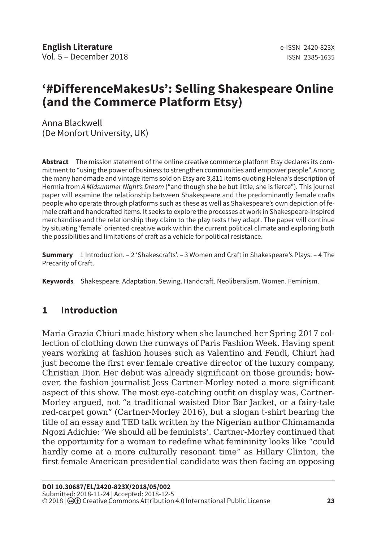# **'#DifferenceMakesUs': Selling Shakespeare Online (and the Commerce Platform Etsy)**

Anna Blackwell (De Monfort University, UK)

**Abstract** The mission statement of the online creative commerce platform Etsy declares its commitment to "using the power of business to strengthen communities and empower people". Among the many handmade and vintage items sold on Etsy are 3,811 items quoting Helena's description of Hermia from *A Midsummer Night's Dream* ("and though she be but little, she is fierce"). This journal paper will examine the relationship between Shakespeare and the predominantly female crafts people who operate through platforms such as these as well as Shakespeare's own depiction of female craft and handcrafted items. It seeks to explore the processes at work in Shakespeare-inspired merchandise and the relationship they claim to the play texts they adapt. The paper will continue by situating 'female' oriented creative work within the current political climate and exploring both the possibilities and limitations of craft as a vehicle for political resistance.

**Summary** 1 Introduction. – 2 'Shakescrafts'. – 3 Women and Craft in Shakespeare's Plays. – 4 The Precarity of Craft.

**Keywords** Shakespeare. Adaptation. Sewing. Handcraft. Neoliberalism. Women. Feminism.

## **1 Introduction**

Maria Grazia Chiuri made history when she launched her Spring 2017 collection of clothing down the runways of Paris Fashion Week. Having spent years working at fashion houses such as Valentino and Fendi, Chiuri had just become the first ever female creative director of the luxury company, Christian Dior. Her debut was already significant on those grounds; however, the fashion journalist Jess Cartner-Morley noted a more significant aspect of this show. The most eye-catching outfit on display was, Cartner-Morley argued, not "a traditional waisted Dior Bar Jacket, or a fairy-tale red-carpet gown" (Cartner-Morley 2016), but a slogan t-shirt bearing the title of an essay and TED talk written by the Nigerian author Chimamanda Ngozi Adichie: 'We should all be feminists'. Cartner-Morley continued that the opportunity for a woman to redefine what femininity looks like "could hardly come at a more culturally resonant time" as Hillary Clinton, the first female American presidential candidate was then facing an opposing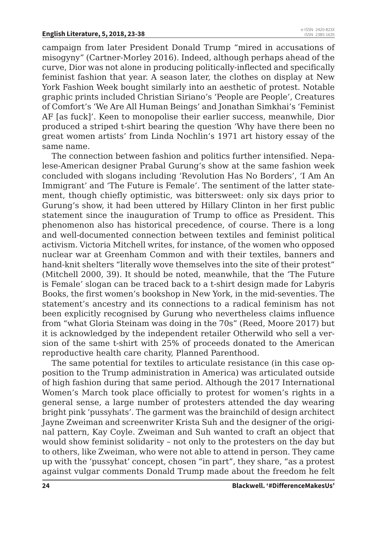campaign from later President Donald Trump "mired in accusations of misogyny" (Cartner-Morley 2016). Indeed, although perhaps ahead of the curve, Dior was not alone in producing politically-inflected and specifically feminist fashion that year. A season later, the clothes on display at New York Fashion Week bought similarly into an aesthetic of protest. Notable graphic prints included Christian Siriano's 'People are People', Creatures of Comfort's 'We Are All Human Beings' and Jonathan Simkhai's 'Feminist AF [as fuck]'. Keen to monopolise their earlier success, meanwhile, Dior produced a striped t-shirt bearing the question 'Why have there been no great women artists' from Linda Nochlin's 1971 art history essay of the same name.

The connection between fashion and politics further intensified. Nepalese-American designer Prabal Gurung's show at the same fashion week concluded with slogans including 'Revolution Has No Borders', 'I Am An Immigrant' and 'The Future is Female'. The sentiment of the latter statement, though chiefly optimistic, was bittersweet: only six days prior to Gurung's show, it had been uttered by Hillary Clinton in her first public statement since the inauguration of Trump to office as President. This phenomenon also has historical precedence, of course. There is a long and well-documented connection between textiles and feminist political activism. Victoria Mitchell writes, for instance, of the women who opposed nuclear war at Greenham Common and with their textiles, banners and hand-knit shelters "literally wove themselves into the site of their protest" (Mitchell 2000, 39). It should be noted, meanwhile, that the 'The Future is Female' slogan can be traced back to a t-shirt design made for Labyris Books, the first women's bookshop in New York, in the mid-seventies. The statement's ancestry and its connections to a radical feminism has not been explicitly recognised by Gurung who nevertheless claims influence from "what Gloria Steinam was doing in the 70s" (Reed, Moore 2017) but it is acknowledged by the independent retailer Otherwild who sell a version of the same t-shirt with 25% of proceeds donated to the American reproductive health care charity, Planned Parenthood.

The same potential for textiles to articulate resistance (in this case opposition to the Trump administration in America) was articulated outside of high fashion during that same period. Although the 2017 International Women's March took place officially to protest for women's rights in a general sense, a large number of protesters attended the day wearing bright pink 'pussyhats'. The garment was the brainchild of design architect Jayne Zweiman and screenwriter Krista Suh and the designer of the original pattern, Kay Coyle. Zweiman and Suh wanted to craft an object that would show feminist solidarity – not only to the protesters on the day but to others, like Zweiman, who were not able to attend in person. They came up with the 'pussyhat' concept, chosen "in part", they share, "as a protest against vulgar comments Donald Trump made about the freedom he felt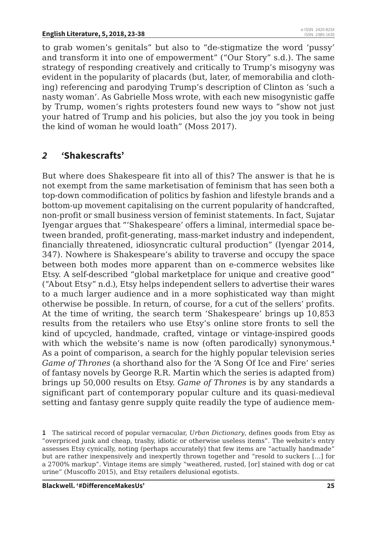to grab women's genitals" but also to "de-stigmatize the word 'pussy' and transform it into one of empowerment" ("Our Story" s.d.). The same strategy of responding creatively and critically to Trump's misogyny was evident in the popularity of placards (but, later, of memorabilia and clothing) referencing and parodying Trump's description of Clinton as 'such a nasty woman'. As Gabrielle Moss wrote, with each new misogynistic gaffe by Trump, women's rights protesters found new ways to "show not just your hatred of Trump and his policies, but also the joy you took in being the kind of woman he would loath" (Moss 2017).

### *2 '***Shakescrafts'**

But where does Shakespeare fit into all of this? The answer is that he is not exempt from the same marketisation of feminism that has seen both a top-down commodification of politics by fashion and lifestyle brands and a bottom-up movement capitalising on the current popularity of handcrafted, non-profit or small business version of feminist statements. In fact, Sujatar Iyengar argues that "'Shakespeare' offers a liminal, intermedial space between branded, profit-generating, mass-market industry and independent, financially threatened, idiosyncratic cultural production" (Iyengar 2014, 347). Nowhere is Shakespeare's ability to traverse and occupy the space between both modes more apparent than on e-commerce websites like Etsy. A self-described "global marketplace for unique and creative good" ("About Etsy" n.d.), Etsy helps independent sellers to advertise their wares to a much larger audience and in a more sophisticated way than might otherwise be possible. In return, of course, for a cut of the sellers' profits. At the time of writing, the search term 'Shakespeare' brings up 10,853 results from the retailers who use Etsy's online store fronts to sell the kind of upcycled, handmade, crafted, vintage or vintage-inspired goods with which the website's name is now (often parodically) synonymous.<sup>1</sup> As a point of comparison, a search for the highly popular television series *Game of Thrones* (a shorthand also for the 'A Song Of Ice and Fire' series of fantasy novels by George R.R. Martin which the series is adapted from) brings up 50,000 results on Etsy. *Game of Thrones* is by any standards a significant part of contemporary popular culture and its quasi-medieval setting and fantasy genre supply quite readily the type of audience mem-

**<sup>1</sup>** The satirical record of popular vernacular, *Urban Dictionary*, defines goods from Etsy as "overpriced junk and cheap, trashy, idiotic or otherwise useless items". The website's entry assesses Etsy cynically, noting (perhaps accurately) that few items are "actually handmade" but are rather inexpensively and inexpertly thrown together and "resold to suckers […] for a 2700% markup". Vintage items are simply "weathered, rusted, [or] stained with dog or cat urine" (Muscoffo 2015), and Etsy retailers delusional egotists.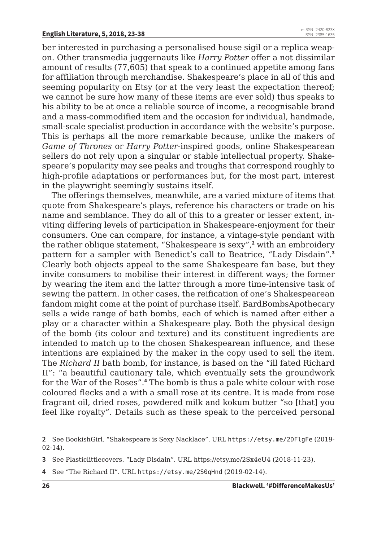ber interested in purchasing a personalised house sigil or a replica weapon. Other transmedia juggernauts like *Harry Potter* offer a not dissimilar amount of results (77,605) that speak to a continued appetite among fans for affiliation through merchandise. Shakespeare's place in all of this and seeming popularity on Etsy (or at the very least the expectation thereof; we cannot be sure how many of these items are ever sold) thus speaks to his ability to be at once a reliable source of income, a recognisable brand and a mass-commodified item and the occasion for individual, handmade, small-scale specialist production in accordance with the website's purpose. This is perhaps all the more remarkable because, unlike the makers of *Game of Thrones* or *Harry Potter*-inspired goods, online Shakespearean sellers do not rely upon a singular or stable intellectual property. Shakespeare's popularity may see peaks and troughs that correspond roughly to high-profile adaptations or performances but, for the most part, interest in the playwright seemingly sustains itself.

The offerings themselves, meanwhile, are a varied mixture of items that quote from Shakespeare's plays, reference his characters or trade on his name and semblance. They do all of this to a greater or lesser extent, inviting differing levels of participation in Shakespeare-enjoyment for their consumers. One can compare, for instance, a vintage-style pendant with the rather oblique statement, "Shakespeare is sexy",**<sup>2</sup>** with an embroidery pattern for a sampler with Benedict's call to Beatrice, "Lady Disdain".**<sup>3</sup>** Clearly both objects appeal to the same Shakespeare fan base, but they invite consumers to mobilise their interest in different ways; the former by wearing the item and the latter through a more time-intensive task of sewing the pattern. In other cases, the reification of one's Shakespearean fandom might come at the point of purchase itself. BardBombsApothecary sells a wide range of bath bombs, each of which is named after either a play or a character within a Shakespeare play. Both the physical design of the bomb (its colour and texture) and its constituent ingredients are intended to match up to the chosen Shakespearean influence, and these intentions are explained by the maker in the copy used to sell the item. The *Richard II* bath bomb, for instance, is based on the "ill fated Richard II": "a beautiful cautionary tale, which eventually sets the groundwork for the War of the Roses".**<sup>4</sup>** The bomb is thus a pale white colour with rose coloured flecks and a with a small rose at its centre. It is made from rose fragrant oil, dried roses, powdered milk and kokum butter "so [that] you feel like royalty". Details such as these speak to the perceived personal

**4** See "The Richard II". URL https://etsy.me/2S0qHnd (2019-02-14).

**<sup>2</sup>** See BookishGirl. "Shakespeare is Sexy Nacklace". URL https://etsy.me/2DFlgFe (2019- 02-14).

**<sup>3</sup>** See Plasticlittlecovers. "Lady Disdain". URL https://etsy.me/2Sx4eU4 (2018-11-23).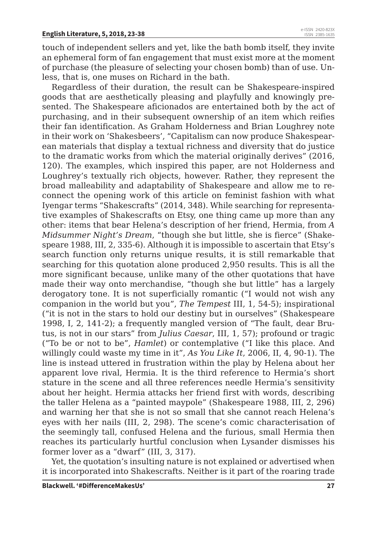touch of independent sellers and yet, like the bath bomb itself, they invite an ephemeral form of fan engagement that must exist more at the moment of purchase (the pleasure of selecting your chosen bomb) than of use. Unless, that is, one muses on Richard in the bath.

Regardless of their duration, the result can be Shakespeare-inspired goods that are aesthetically pleasing and playfully and knowingly presented. The Shakespeare aficionados are entertained both by the act of purchasing, and in their subsequent ownership of an item which reifies their fan identification. As Graham Holderness and Brian Loughrey note in their work on 'Shakesbeers', "Capitalism can now produce Shakespearean materials that display a textual richness and diversity that do justice to the dramatic works from which the material originally derives" (2016, 120). The examples, which inspired this paper, are not Holderness and Loughrey's textually rich objects, however. Rather, they represent the broad malleability and adaptability of Shakespeare and allow me to reconnect the opening work of this article on feminist fashion with what Iyengar terms "Shakescrafts" (2014, 348). While searching for representative examples of Shakescrafts on Etsy, one thing came up more than any other: items that bear Helena's description of her friend, Hermia, from *A Midsummer Night's Dream*, "though she but little, she is fierce" (Shakespeare 1988, III, 2, 335-6). Although it is impossible to ascertain that Etsy's search function only returns unique results, it is still remarkable that searching for this quotation alone produced 2,950 results. This is all the more significant because, unlike many of the other quotations that have made their way onto merchandise, "though she but little" has a largely derogatory tone. It is not superficially romantic ("I would not wish any companion in the world but you", *The Tempest* III, 1, 54-5); inspirational ("it is not in the stars to hold our destiny but in ourselves" (Shakespeare 1998, I, 2, 141-2); a frequently mangled version of "The fault, dear Brutus, is not in our stars" from *Julius Caesar*, III, 1, 57); profound or tragic ("To be or not to be", *Hamlet*) or contemplative ("I like this place. And willingly could waste my time in it", *As You Like It*, 2006, II, 4, 90-1). The line is instead uttered in frustration within the play by Helena about her apparent love rival, Hermia. It is the third reference to Hermia's short stature in the scene and all three references needle Hermia's sensitivity about her height. Hermia attacks her friend first with words, describing the taller Helena as a "painted maypole" (Shakespeare 1988, III, 2, 296) and warning her that she is not so small that she cannot reach Helena's eyes with her nails (III, 2, 298). The scene's comic characterisation of the seemingly tall, confused Helena and the furious, small Hermia then reaches its particularly hurtful conclusion when Lysander dismisses his former lover as a "dwarf" (III, 3, 317).

Yet, the quotation's insulting nature is not explained or advertised when it is incorporated into Shakescrafts. Neither is it part of the roaring trade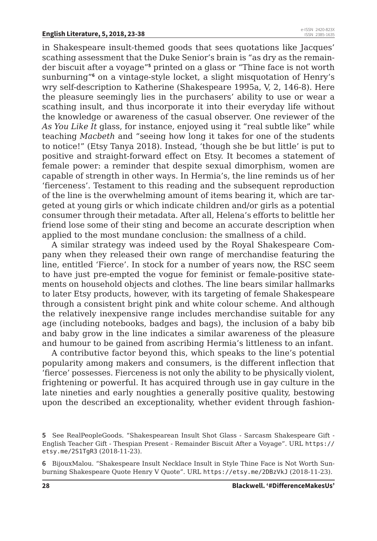in Shakespeare insult-themed goods that sees quotations like Jacques' scathing assessment that the Duke Senior's brain is "as dry as the remainder biscuit after a voyage"**<sup>5</sup>** printed on a glass or "Thine face is not worth sunburning"<sup>6</sup> on a vintage-style locket, a slight misquotation of Henry's wry self-description to Katherine (Shakespeare 1995a, V, 2, 146-8). Here the pleasure seemingly lies in the purchasers' ability to use or wear a scathing insult, and thus incorporate it into their everyday life without the knowledge or awareness of the casual observer. One reviewer of the *As You Like It* glass, for instance, enjoyed using it "real subtle like" while teaching *Macbeth* and "seeing how long it takes for one of the students to notice!" (Etsy Tanya 2018). Instead, 'though she be but little' is put to positive and straight-forward effect on Etsy. It becomes a statement of female power: a reminder that despite sexual dimorphism, women are capable of strength in other ways. In Hermia's, the line reminds us of her 'fierceness'. Testament to this reading and the subsequent reproduction of the line is the overwhelming amount of items bearing it, which are targeted at young girls or which indicate children and/or girls as a potential consumer through their metadata. After all, Helena's efforts to belittle her friend lose some of their sting and become an accurate description when applied to the most mundane conclusion: the smallness of a child.

A similar strategy was indeed used by the Royal Shakespeare Company when they released their own range of merchandise featuring the line, entitled 'Fierce'. In stock for a number of years now, the RSC seem to have just pre-empted the vogue for feminist or female-positive statements on household objects and clothes. The line bears similar hallmarks to later Etsy products, however, with its targeting of female Shakespeare through a consistent bright pink and white colour scheme. And although the relatively inexpensive range includes merchandise suitable for any age (including notebooks, badges and bags), the inclusion of a baby bib and baby grow in the line indicates a similar awareness of the pleasure and humour to be gained from ascribing Hermia's littleness to an infant.

A contributive factor beyond this, which speaks to the line's potential popularity among makers and consumers, is the different inflection that 'fierce' possesses. Fierceness is not only the ability to be physically violent, frightening or powerful. It has acquired through use in gay culture in the late nineties and early noughties a generally positive quality, bestowing upon the described an exceptionality, whether evident through fashion-

**<sup>5</sup>** See RealPeopleGoods. "Shakespearean Insult Shot Glass - Sarcasm Shakespeare Gift - English Teacher Gift - Thespian Present - Remainder Biscuit After a Voyage". URL https:// etsy.me/2S1TgR3 (2018-11-23).

**<sup>6</sup>** BijouxMalou. "Shakespeare Insult Necklace Insult in Style Thine Face is Not Worth Sunburning Shakespeare Quote Henry V Quote". URL https://etsy.me/2DBzVkJ (2018-11-23).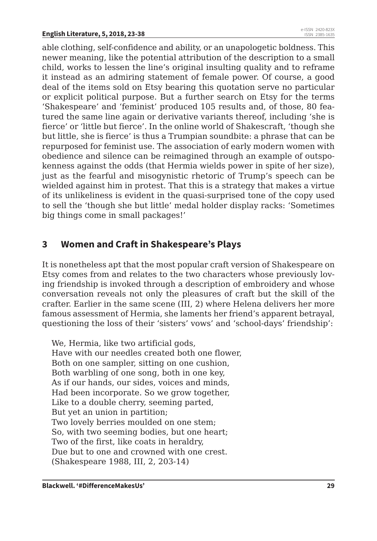able clothing, self-confidence and ability, or an unapologetic boldness. This newer meaning, like the potential attribution of the description to a small child, works to lessen the line's original insulting quality and to reframe it instead as an admiring statement of female power. Of course, a good deal of the items sold on Etsy bearing this quotation serve no particular or explicit political purpose. But a further search on Etsy for the terms 'Shakespeare' and 'feminist' produced 105 results and, of those, 80 featured the same line again or derivative variants thereof, including 'she is fierce' or 'little but fierce'. In the online world of Shakescraft, 'though she but little, she is fierce' is thus a Trumpian soundbite: a phrase that can be repurposed for feminist use. The association of early modern women with obedience and silence can be reimagined through an example of outspokenness against the odds (that Hermia wields power in spite of her size), just as the fearful and misogynistic rhetoric of Trump's speech can be wielded against him in protest. That this is a strategy that makes a virtue of its unlikeliness is evident in the quasi-surprised tone of the copy used to sell the 'though she but little' medal holder display racks: 'Sometimes big things come in small packages!'

#### **3 Women and Craft in Shakespeare's Plays**

It is nonetheless apt that the most popular craft version of Shakespeare on Etsy comes from and relates to the two characters whose previously loving friendship is invoked through a description of embroidery and whose conversation reveals not only the pleasures of craft but the skill of the crafter. Earlier in the same scene (III, 2) where Helena delivers her more famous assessment of Hermia, she laments her friend's apparent betrayal, questioning the loss of their 'sisters' vows' and 'school-days' friendship':

We, Hermia, like two artificial gods, Have with our needles created both one flower, Both on one sampler, sitting on one cushion, Both warbling of one song, both in one key, As if our hands, our sides, voices and minds, Had been incorporate. So we grow together, Like to a double cherry, seeming parted, But yet an union in partition; Two lovely berries moulded on one stem; So, with two seeming bodies, but one heart; Two of the first, like coats in heraldry, Due but to one and crowned with one crest. (Shakespeare 1988, III, 2, 203-14)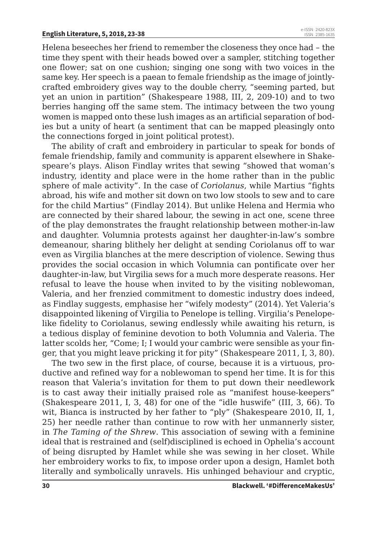Helena beseeches her friend to remember the closeness they once had – the time they spent with their heads bowed over a sampler, stitching together one flower; sat on one cushion; singing one song with two voices in the same key. Her speech is a paean to female friendship as the image of jointlycrafted embroidery gives way to the double cherry, "seeming parted, but yet an union in partition" (Shakespeare 1988, III, 2, 209-10) and to two berries hanging off the same stem. The intimacy between the two young women is mapped onto these lush images as an artificial separation of bodies but a unity of heart (a sentiment that can be mapped pleasingly onto the connections forged in joint political protest).

The ability of craft and embroidery in particular to speak for bonds of female friendship, family and community is apparent elsewhere in Shakespeare's plays. Alison Findlay writes that sewing "showed that woman's industry, identity and place were in the home rather than in the public sphere of male activity". In the case of *Coriolanus*, while Martius "fights abroad, his wife and mother sit down on two low stools to sew and to care for the child Martius" (Findlay 2014). But unlike Helena and Hermia who are connected by their shared labour, the sewing in act one, scene three of the play demonstrates the fraught relationship between mother-in-law and daughter. Volumnia protests against her daughter-in-law's sombre demeanour, sharing blithely her delight at sending Coriolanus off to war even as Virgilia blanches at the mere description of violence. Sewing thus provides the social occasion in which Volumnia can pontificate over her daughter-in-law, but Virgilia sews for a much more desperate reasons. Her refusal to leave the house when invited to by the visiting noblewoman, Valeria, and her frenzied commitment to domestic industry does indeed, as Findlay suggests, emphasise her "wifely modesty" (2014). Yet Valeria's disappointed likening of Virgilia to Penelope is telling. Virgilia's Penelopelike fidelity to Coriolanus, sewing endlessly while awaiting his return, is a tedious display of feminine devotion to both Volumnia and Valeria. The latter scolds her, "Come; I; I would your cambric were sensible as your finger, that you might leave pricking it for pity" (Shakespeare 2011, I, 3, 80).

The two sew in the first place, of course, because it is a virtuous, productive and refined way for a noblewoman to spend her time. It is for this reason that Valeria's invitation for them to put down their needlework is to cast away their initially praised role as "manifest house-keepers" (Shakespeare 2011, I, 3, 48) for one of the "idle huswife" (III, 3, 66). To wit, Bianca is instructed by her father to "ply" (Shakespeare 2010, II, 1, 25) her needle rather than continue to row with her unmannerly sister, in *The Taming of the Shrew*. This association of sewing with a feminine ideal that is restrained and (self)disciplined is echoed in Ophelia's account of being disrupted by Hamlet while she was sewing in her closet. While her embroidery works to fix, to impose order upon a design, Hamlet both literally and symbolically unravels. His unhinged behaviour and cryptic,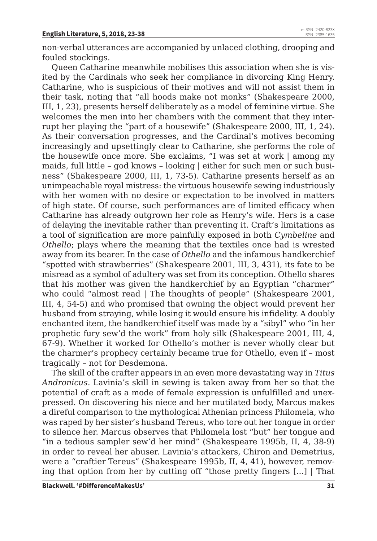non-verbal utterances are accompanied by unlaced clothing, drooping and fouled stockings.

Queen Catharine meanwhile mobilises this association when she is visited by the Cardinals who seek her compliance in divorcing King Henry. Catharine, who is suspicious of their motives and will not assist them in their task, noting that "all hoods make not monks" (Shakespeare 2000, III, 1, 23), presents herself deliberately as a model of feminine virtue. She welcomes the men into her chambers with the comment that they interrupt her playing the "part of a housewife" (Shakespeare 2000, III, 1, 24). As their conversation progresses, and the Cardinal's motives becoming increasingly and upsettingly clear to Catharine, she performs the role of the housewife once more. She exclaims, "I was set at work | among my maids, full little – god knows – looking | either for such men or such business" (Shakespeare 2000, III, 1, 73-5). Catharine presents herself as an unimpeachable royal mistress: the virtuous housewife sewing industriously with her women with no desire or expectation to be involved in matters of high state. Of course, such performances are of limited efficacy when Catharine has already outgrown her role as Henry's wife. Hers is a case of delaying the inevitable rather than preventing it. Craft's limitations as a tool of signification are more painfully exposed in both *Cymbeline* and *Othello*; plays where the meaning that the textiles once had is wrested away from its bearer. In the case of *Othello* and the infamous handkerchief "spotted with strawberries" (Shakespeare 2001, III, 3, 431), its fate to be misread as a symbol of adultery was set from its conception. Othello shares that his mother was given the handkerchief by an Egyptian "charmer" who could "almost read | The thoughts of people" (Shakespeare 2001, III, 4, 54-5) and who promised that owning the object would prevent her husband from straying, while losing it would ensure his infidelity. A doubly enchanted item, the handkerchief itself was made by a "sibyl" who "in her prophetic fury sew'd the work" from holy silk (Shakespeare 2001, III, 4, 67-9). Whether it worked for Othello's mother is never wholly clear but the charmer's prophecy certainly became true for Othello, even if – most tragically – not for Desdemona.

The skill of the crafter appears in an even more devastating way in *Titus Andronicus*. Lavinia's skill in sewing is taken away from her so that the potential of craft as a mode of female expression is unfulfilled and unexpressed. On discovering his niece and her mutilated body, Marcus makes a direful comparison to the mythological Athenian princess Philomela, who was raped by her sister's husband Tereus, who tore out her tongue in order to silence her. Marcus observes that Philomela lost "but" her tongue and "in a tedious sampler sew'd her mind" (Shakespeare 1995b, II, 4, 38-9) in order to reveal her abuser. Lavinia's attackers, Chiron and Demetrius, were a "craftier Tereus" (Shakespeare 1995b, II, 4, 41), however, removing that option from her by cutting off "those pretty fingers [...] | That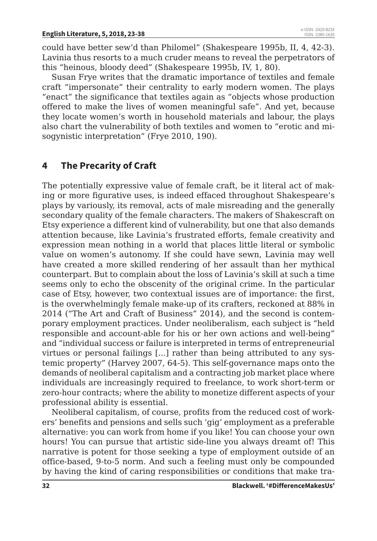could have better sew'd than Philomel" (Shakespeare 1995b, II, 4, 42-3). Lavinia thus resorts to a much cruder means to reveal the perpetrators of this "heinous, bloody deed" (Shakespeare 1995b, IV, 1, 80).

Susan Frye writes that the dramatic importance of textiles and female craft "impersonate" their centrality to early modern women. The plays "enact" the significance that textiles again as "objects whose production offered to make the lives of women meaningful safe". And yet, because they locate women's worth in household materials and labour, the plays also chart the vulnerability of both textiles and women to "erotic and misogynistic interpretation" (Frye 2010, 190).

## **4 The Precarity of Craft**

The potentially expressive value of female craft, be it literal act of making or more figurative uses, is indeed effaced throughout Shakespeare's plays by variously, its removal, acts of male misreading and the generally secondary quality of the female characters. The makers of Shakescraft on Etsy experience a different kind of vulnerability, but one that also demands attention because, like Lavinia's frustrated efforts, female creativity and expression mean nothing in a world that places little literal or symbolic value on women's autonomy. If she could have sewn, Lavinia may well have created a more skilled rendering of her assault than her mythical counterpart. But to complain about the loss of Lavinia's skill at such a time seems only to echo the obscenity of the original crime. In the particular case of Etsy, however, two contextual issues are of importance: the first, is the overwhelmingly female make-up of its crafters, reckoned at 88% in 2014 ("The Art and Craft of Business" 2014), and the second is contemporary employment practices. Under neoliberalism, each subject is "held responsible and account-able for his or her own actions and well-being" and "individual success or failure is interpreted in terms of entrepreneurial virtues or personal failings [...] rather than being attributed to any systemic property" (Harvey 2007, 64-5). This self-governance maps onto the demands of neoliberal capitalism and a contracting job market place where individuals are increasingly required to freelance, to work short-term or zero-hour contracts; where the ability to monetize different aspects of your professional ability is essential.

Neoliberal capitalism, of course, profits from the reduced cost of workers' benefits and pensions and sells such 'gig' employment as a preferable alternative: you can work from home if you like! You can choose your own hours! You can pursue that artistic side-line you always dreamt of! This narrative is potent for those seeking a type of employment outside of an office-based, 9-to-5 norm. And such a feeling must only be compounded by having the kind of caring responsibilities or conditions that make tra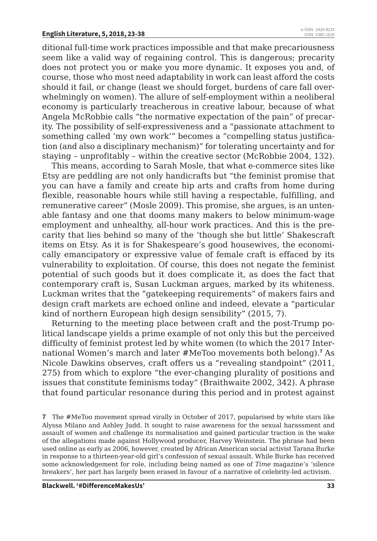ditional full-time work practices impossible and that make precariousness seem like a valid way of regaining control. This is dangerous; precarity does not protect you or make you more dynamic. It exposes you and, of course, those who most need adaptability in work can least afford the costs should it fail, or change (least we should forget, burdens of care fall overwhelmingly on women). The allure of self-employment within a neoliberal economy is particularly treacherous in creative labour, because of what Angela McRobbie calls "the normative expectation of the pain" of precarity. The possibility of self-expressiveness and a "passionate attachment to something called 'my own work'" becomes a "compelling status justification (and also a disciplinary mechanism)" for tolerating uncertainty and for staying – unprofitably – within the creative sector (McRobbie 2004, 132).

This means, according to Sarah Mosle, that what e-commerce sites like Etsy are peddling are not only handicrafts but "the feminist promise that you can have a family and create hip arts and crafts from home during flexible, reasonable hours while still having a respectable, fulfilling, and remunerative career" (Mosle 2009). This promise, she argues, is an untenable fantasy and one that dooms many makers to below minimum-wage employment and unhealthy, all-hour work practices. And this is the precarity that lies behind so many of the 'though she but little' Shakescraft items on Etsy. As it is for Shakespeare's good housewives, the economically emancipatory or expressive value of female craft is effaced by its vulnerability to exploitation. Of course, this does not negate the feminist potential of such goods but it does complicate it, as does the fact that contemporary craft is, Susan Luckman argues, marked by its whiteness. Luckman writes that the "gatekeeping requirements" of makers fairs and design craft markets are echoed online and indeed, elevate a "particular kind of northern European high design sensibility" (2015, 7).

Returning to the meeting place between craft and the post-Trump political landscape yields a prime example of not only this but the perceived difficulty of feminist protest led by white women (to which the 2017 International Women's march and later #MeToo movements both belong).**<sup>7</sup>** As Nicole Dawkins observes, craft offers us a "revealing standpoint" (2011, 275) from which to explore "the ever-changing plurality of positions and issues that constitute feminisms today" (Braithwaite 2002, 342). A phrase that found particular resonance during this period and in protest against

**7** The #MeToo movement spread virally in October of 2017, popularised by white stars like Alyssa Milano and Ashley Judd. It sought to raise awareness for the sexual harassment and assault of women and challenge its normalisation and gained particular traction in the wake of the allegations made against Hollywood producer, Harvey Weinstein. The phrase had been used online as early as 2006, however, created by African American social activist Tarana Burke in response to a thirteen-year-old girl's confession of sexual assault. While Burke has received some acknowledgement for role, including being named as one of *Time* magazine's 'silence breakers', her part has largely been erased in favour of a narrative of celebrity-led activism.

**Blackwell. '#DifferenceMakesUs' 33**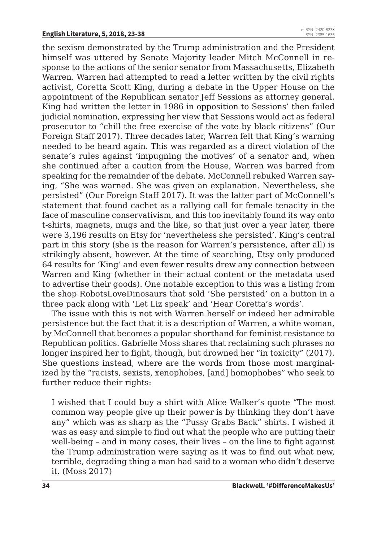the sexism demonstrated by the Trump administration and the President himself was uttered by Senate Majority leader Mitch McConnell in response to the actions of the senior senator from Massachusetts, Elizabeth Warren. Warren had attempted to read a letter written by the civil rights activist, Coretta Scott King, during a debate in the Upper House on the appointment of the Republican senator Jeff Sessions as attorney general. King had written the letter in 1986 in opposition to Sessions' then failed judicial nomination, expressing her view that Sessions would act as federal prosecutor to "chill the free exercise of the vote by black citizens" (Our Foreign Staff 2017). Three decades later, Warren felt that King's warning needed to be heard again. This was regarded as a direct violation of the senate's rules against 'impugning the motives' of a senator and, when she continued after a caution from the House, Warren was barred from speaking for the remainder of the debate. McConnell rebuked Warren saying, "She was warned. She was given an explanation. Nevertheless, she persisted" (Our Foreign Staff 2017). It was the latter part of McConnell's statement that found cachet as a rallying call for female tenacity in the face of masculine conservativism, and this too inevitably found its way onto t-shirts, magnets, mugs and the like, so that just over a year later, there were 3,196 results on Etsy for 'nevertheless she persisted'. King's central part in this story (she is the reason for Warren's persistence, after all) is strikingly absent, however. At the time of searching, Etsy only produced 64 results for 'King' and even fewer results drew any connection between Warren and King (whether in their actual content or the metadata used to advertise their goods). One notable exception to this was a listing from the shop RobotsLoveDinosaurs that sold 'She persisted' on a button in a three pack along with 'Let Liz speak' and 'Hear Coretta's words'.

The issue with this is not with Warren herself or indeed her admirable persistence but the fact that it is a description of Warren, a white woman, by McConnell that becomes a popular shorthand for feminist resistance to Republican politics. Gabrielle Moss shares that reclaiming such phrases no longer inspired her to fight, though, but drowned her "in toxicity" (2017). She questions instead, where are the words from those most marginalized by the "racists, sexists, xenophobes, [and] homophobes" who seek to further reduce their rights:

I wished that I could buy a shirt with Alice Walker's quote "The most common way people give up their power is by thinking they don't have any" which was as sharp as the "Pussy Grabs Back" shirts. I wished it was as easy and simple to find out what the people who are putting their well-being – and in many cases, their lives – on the line to fight against the Trump administration were saying as it was to find out what new, terrible, degrading thing a man had said to a woman who didn't deserve it. (Moss 2017)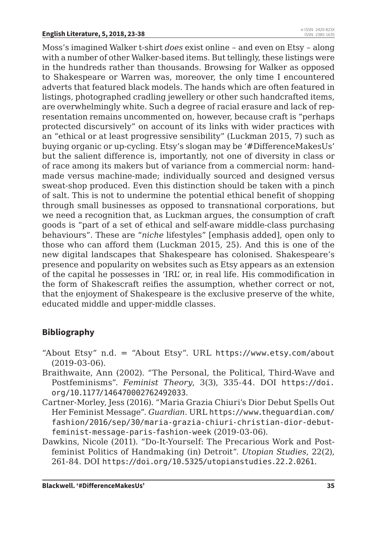Moss's imagined Walker t-shirt *does* exist online – and even on Etsy – along with a number of other Walker-based items. But tellingly, these listings were in the hundreds rather than thousands. Browsing for Walker as opposed to Shakespeare or Warren was, moreover, the only time I encountered adverts that featured black models. The hands which are often featured in listings, photographed cradling jewellery or other such handcrafted items, are overwhelmingly white. Such a degree of racial erasure and lack of representation remains uncommented on, however, because craft is "perhaps protected discursively" on account of its links with wider practices with an "ethical or at least progressive sensibility" (Luckman 2015, 7) such as buying organic or up-cycling. Etsy's slogan may be '#DifferenceMakesUs' but the salient difference is, importantly, not one of diversity in class or of race among its makers but of variance from a commercial norm: handmade versus machine-made; individually sourced and designed versus sweat-shop produced. Even this distinction should be taken with a pinch of salt. This is not to undermine the potential ethical benefit of shopping through small businesses as opposed to transnational corporations, but we need a recognition that, as Luckman argues, the consumption of craft goods is "part of a set of ethical and self-aware middle-class purchasing behaviours". These are "*niche* lifestyles" [emphasis added], open only to those who can afford them (Luckman 2015, 25). And this is one of the new digital landscapes that Shakespeare has colonised. Shakespeare's presence and popularity on websites such as Etsy appears as an extension of the capital he possesses in 'IRL' or, in real life. His commodification in the form of Shakescraft reifies the assumption, whether correct or not, that the enjoyment of Shakespeare is the exclusive preserve of the white, educated middle and upper-middle classes.

#### **Bibliography**

- "About Etsy" n.d. = "About Etsy". URL https://www.etsy.com/about (2019-03-06).
- Braithwaite, Ann (2002). "The Personal, the Political, Third-Wave and Postfeminisms". *Feminist Theory*, 3(3), 335-44. DOI https://doi. org/10.1177/146470002762492033.
- Cartner-Morley, Jess (2016). "Maria Grazia Chiuri's Dior Debut Spells Out Her Feminist Message". *Guardian*. URL https://www.theguardian.com/ fashion/2016/sep/30/maria-grazia-chiuri-christian-dior-debutfeminist-message-paris-fashion-week (2019-03-06).
- Dawkins, Nicole (2011). "Do-It-Yourself: The Precarious Work and Postfeminist Politics of Handmaking (in) Detroit". *Utopian Studies*, 22(2), 261-84. DOI https://doi.org/10.5325/utopianstudies.22.2.0261.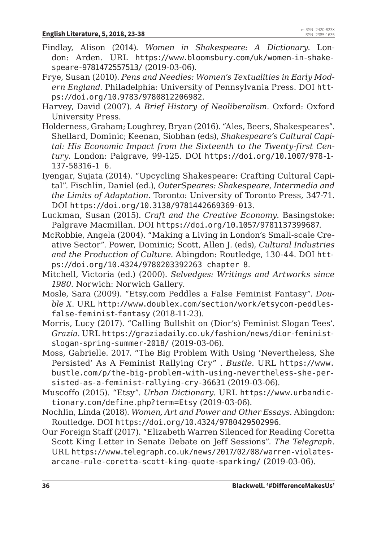- Findlay, Alison (2014). *Women in Shakespeare: A Dictionary*. London: Arden. URL https://www.bloomsbury.com/uk/women-in-shakespeare-9781472557513/ (2019-03-06).
- Frye, Susan (2010). *Pens and Needles: Women's Textualities in Early Modern England*. Philadelphia: University of Pennsylvania Press. DOI https://doi.org/10.9783/9780812206982.
- Harvey, David (2007). *A Brief History of Neoliberalism*. Oxford: Oxford University Press.
- Holderness, Graham; Loughrey, Bryan (2016). "Ales, Beers, Shakespeares". Shellard, Dominic; Keenan, Siobhan (eds), *Shakespeare's Cultural Capital: His Economic Impact from the Sixteenth to the Twenty-first Century*. London: Palgrave, 99-125. DOI https://doi.org/10.1007/978-1- 137-58316-1\_6.
- Iyengar, Sujata (2014). "Upcycling Shakespeare: Crafting Cultural Capital". Fischlin, Daniel (ed.), *OuterSpeares: Shakespeare, Intermedia and the Limits of Adaptation*. Toronto: University of Toronto Press, 347-71. DOI https://doi.org/10.3138/9781442669369-013.
- Luckman, Susan (2015). *Craft and the Creative Economy*. Basingstoke: Palgrave Macmillan. DOI https://doi.org/10.1057/9781137399687.
- McRobbie, Angela (2004). "Making a Living in London's Small-scale Creative Sector". Power, Dominic; Scott, Allen J. (eds), *Cultural Industries and the Production of Culture*. Abingdon: Routledge, 130-44. DOI https://doi.org/10.4324/9780203392263\_chapter\_8.
- Mitchell, Victoria (ed.) (2000). *Selvedges: Writings and Artworks since 1980*. Norwich: Norwich Gallery.
- Mosle, Sara (2009). "Etsy.com Peddles a False Feminist Fantasy". *Double X*. URL http://www.doublex.com/section/work/etsycom-peddlesfalse-feminist-fantasy (2018-11-23).
- Morris, Lucy (2017). "Calling Bullshit on (Dior's) Feminist Slogan Tees'. *Grazia*. URL https://graziadaily.co.uk/fashion/news/dior-feministslogan-spring-summer-2018/ (2019-03-06).
- Moss, Gabrielle. 2017. "The Big Problem With Using 'Nevertheless, She Persisted' As A Feminist Rallying Cry" . *Bustle*. URL https://www. bustle.com/p/the-big-problem-with-using-nevertheless-she-persisted-as-a-feminist-rallying-cry-36631 (2019-03-06).
- Muscoffo (2015). "Etsy". *Urban Dictionary*. URL https://www.urbandictionary.com/define.php?term=Etsy (2019-03-06).
- Nochlin, Linda (2018). *Women, Art and Power and Other Essays*. Abingdon: Routledge. DOI https://doi.org/10.4324/9780429502996.
- Our Foreign Staff (2017). "Elizabeth Warren Silenced for Reading Coretta Scott King Letter in Senate Debate on Jeff Sessions". *The Telegraph*. URL https://www.telegraph.co.uk/news/2017/02/08/warren-violatesarcane-rule-coretta-scott-king-quote-sparking/ (2019-03-06).